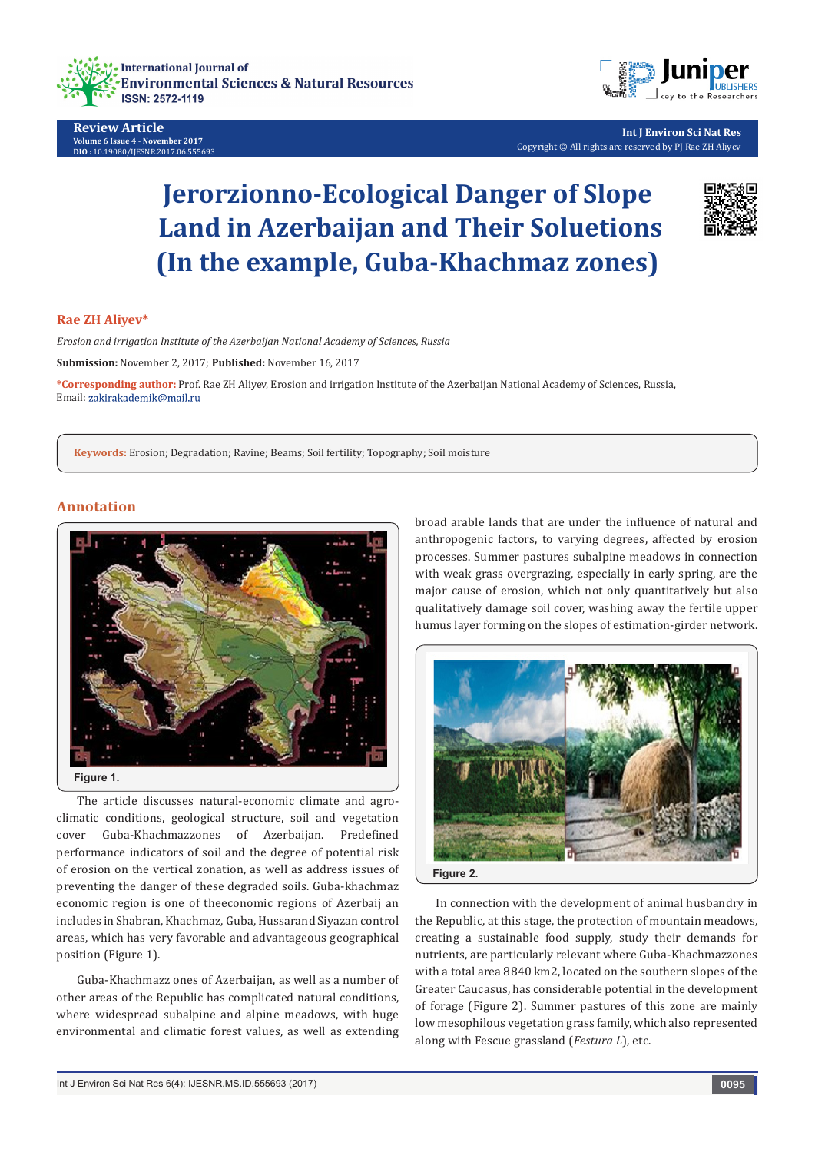

**Review Article Volume 6 Issue 4 - November 2017 DIO :** [10.19080/IJESNR.2017.06.555693](http://dx.doi.org/10.19080/IJESNR.2017.06.555693)



**Int J Environ Sci Nat Res** Copyright © All rights are reserved by PJ Rae ZH Aliyev

# **Jerorzionno-Ecological Danger of Slope Land in Azerbaijan and Their Soluetions (In the example, Guba-Khachmaz zones)**



## **Rae ZH Aliyev\***

*Erosion and irrigation Institute of the Azerbaijan National Academy of Sciences, Russia*

**Submission:** November 2, 2017; **Published:** November 16, 2017

**\*Corresponding author:** Prof. Rae ZH Aliyev, Erosion and irrigation Institute of the Azerbaijan National Academy of Sciences, Russia, Email: zakirakademik@mail.ru

**Keywords:** Erosion; Degradation; Ravine; Beams; Soil fertility; Topography; Soil moisture

## **Annotation**



The article discusses natural-economic climate and agroclimatic conditions, geological structure, soil and vegetation cover Guba-Khachmazzones of Azerbaijan. Predefined performance indicators of soil and the degree of potential risk of erosion on the vertical zonation, as well as address issues of preventing the danger of these degraded soils. Guba-khachmaz economic region is one of theeconomic regions of Azerbaij an includes in Shabran, Khachmaz, Guba, Hussarand Siyazan control areas, which has very favorable and advantageous geographical position (Figure 1).

Guba-Khachmazz ones of Azerbaijan, as well as a number of other areas of the Republic has complicated natural conditions, where widespread subalpine and alpine meadows, with huge environmental and climatic forest values, as well as extending

broad arable lands that are under the influence of natural and anthropogenic factors, to varying degrees, affected by erosion processes. Summer pastures subalpine meadows in connection with weak grass overgrazing, especially in early spring, are the major cause of erosion, which not only quantitatively but also qualitatively damage soil cover, washing away the fertile upper humus layer forming on the slopes of estimation-girder network.



In connection with the development of animal husbandry in the Republic, at this stage, the protection of mountain meadows, creating a sustainable food supply, study their demands for nutrients, are particularly relevant where Guba-Khachmazzones with a total area 8840 km2, located on the southern slopes of the Greater Caucasus, has considerable potential in the development of forage (Figure 2). Summer pastures of this zone are mainly low mesophilous vegetation grass family, which also represented along with Fescue grassland (*Festura L*), etc.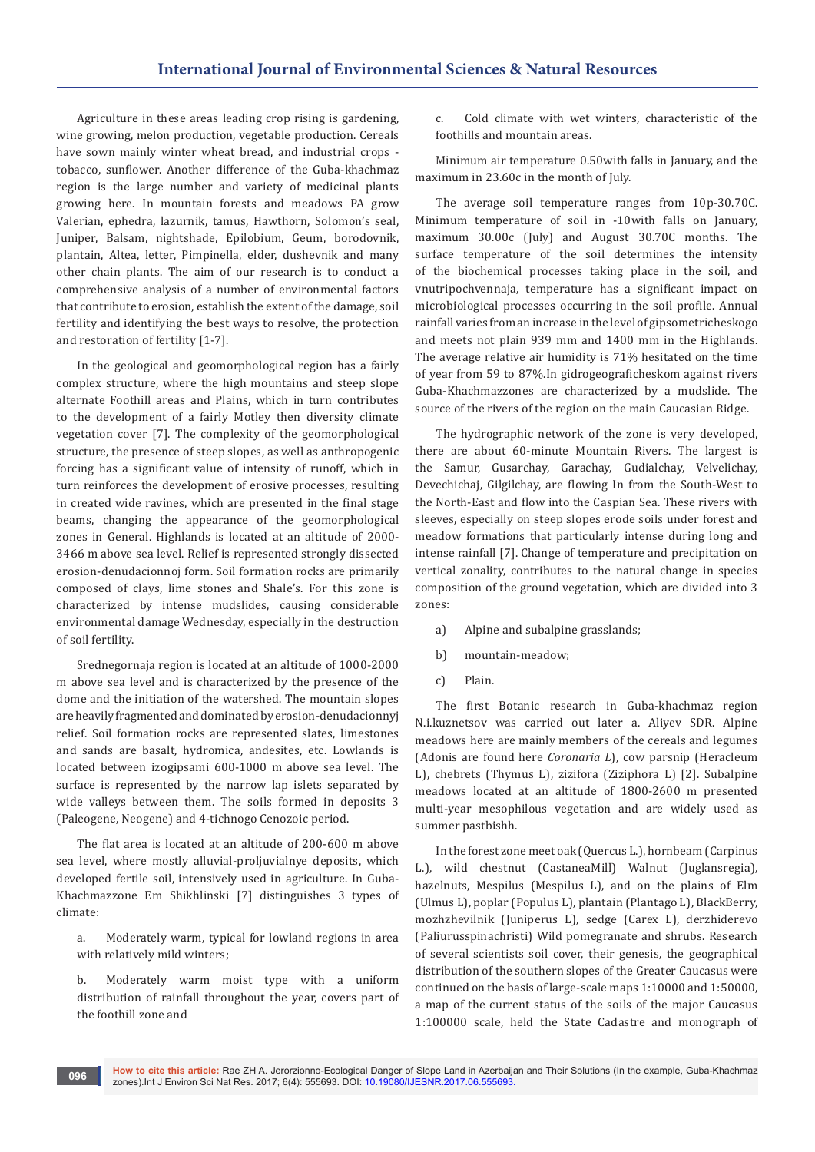Agriculture in these areas leading crop rising is gardening, wine growing, melon production, vegetable production. Cereals have sown mainly winter wheat bread, and industrial crops tobacco, sunflower. Another difference of the Guba-khachmaz region is the large number and variety of medicinal plants growing here. In mountain forests and meadows PA grow Valerian, ephedra, lazurnik, tamus, Hawthorn, Solomon's seal, Juniper, Balsam, nightshade, Epilobium, Geum, borodovnik, plantain, Altea, letter, Pimpinella, elder, dushevnik and many other chain plants. The aim of our research is to conduct a comprehensive analysis of a number of environmental factors that contribute to erosion, establish the extent of the damage, soil fertility and identifying the best ways to resolve, the protection and restoration of fertility [1-7].

In the geological and geomorphological region has a fairly complex structure, where the high mountains and steep slope alternate Foothill areas and Plains, which in turn contributes to the development of a fairly Motley then diversity climate vegetation cover [7]. The complexity of the geomorphological structure, the presence of steep slopes, as well as anthropogenic forcing has a significant value of intensity of runoff, which in turn reinforces the development of erosive processes, resulting in created wide ravines, which are presented in the final stage beams, changing the appearance of the geomorphological zones in General. Highlands is located at an altitude of 2000- 3466 m above sea level. Relief is represented strongly dissected erosion-denudacionnoj form. Soil formation rocks are primarily composed of clays, lime stones and Shale's. For this zone is characterized by intense mudslides, causing considerable environmental damage Wednesday, especially in the destruction of soil fertility.

Srednegornaja region is located at an altitude of 1000-2000 m above sea level and is characterized by the presence of the dome and the initiation of the watershed. The mountain slopes are heavily fragmented and dominated by erosion-denudacionnyj relief. Soil formation rocks are represented slates, limestones and sands are basalt, hydromica, andesites, etc. Lowlands is located between izogipsami 600-1000 m above sea level. The surface is represented by the narrow lap islets separated by wide valleys between them. The soils formed in deposits 3 (Paleogene, Neogene) and 4-tichnogo Cenozoic period.

The flat area is located at an altitude of 200-600 m above sea level, where mostly alluvial-proljuvialnye deposits, which developed fertile soil, intensively used in agriculture. In Guba-Khachmazzone Em Shikhlinski [7] distinguishes 3 types of climate:

a. Moderately warm, typical for lowland regions in area with relatively mild winters;

b. Moderately warm moist type with a uniform distribution of rainfall throughout the year, covers part of the foothill zone and

c. Cold climate with wet winters, characteristic of the foothills and mountain areas.

Minimum air temperature 0.50with falls in January, and the maximum in 23.60c in the month of July.

The average soil temperature ranges from 10p-30.70C. Minimum temperature of soil in -10with falls on January, maximum 30.00c (July) and August 30.70C months. The surface temperature of the soil determines the intensity of the biochemical processes taking place in the soil, and vnutripochvennaja, temperature has a significant impact on microbiological processes occurring in the soil profile. Annual rainfall varies from an increase in the level of gipsometricheskogo and meets not plain 939 mm and 1400 mm in the Highlands. The average relative air humidity is 71% hesitated on the time of year from 59 to 87%.In gidrogeograficheskom against rivers Guba-Khachmazzones are characterized by a mudslide. The source of the rivers of the region on the main Caucasian Ridge.

The hydrographic network of the zone is very developed, there are about 60-minute Mountain Rivers. The largest is the Samur, Gusarchay, Garachay, Gudialchay, Velvelichay, Devechichaj, Gilgilchay, are flowing In from the South-West to the North-East and flow into the Caspian Sea. These rivers with sleeves, especially on steep slopes erode soils under forest and meadow formations that particularly intense during long and intense rainfall [7]. Change of temperature and precipitation on vertical zonality, contributes to the natural change in species composition of the ground vegetation, which are divided into 3 zones:

- a) Alpine and subalpine grasslands;
- b) mountain-meadow;
- c) Plain.

The first Botanic research in Guba-khachmaz region N.i.kuznetsov was carried out later a. Aliyev SDR. Alpine meadows here are mainly members of the cereals and legumes (Adonis are found here *Coronaria L*), cow parsnip (Heracleum L), chebrets (Thymus L), zizifora (Ziziphora L) [2]. Subalpine meadows located at an altitude of 1800-2600 m presented multi-year mesophilous vegetation and are widely used as summer pastbishh.

In the forest zone meet oak (Quercus L.), hornbeam (Carpinus L.), wild chestnut (CastaneaMill) Walnut (Juglansregia), hazelnuts, Mespilus (Mespilus L), and on the plains of Elm (Ulmus L), poplar (Populus L), plantain (Plantago L), BlackBerry, mozhzhevilnik (Juniperus L), sedge (Carex L), derzhiderevo (Paliurusspinachristi) Wild pomegranate and shrubs. Research of several scientists soil cover, their genesis, the geographical distribution of the southern slopes of the Greater Caucasus were continued on the basis of large-scale maps 1:10000 and 1:50000, a map of the current status of the soils of the major Caucasus 1:100000 scale, held the State Cadastre and monograph of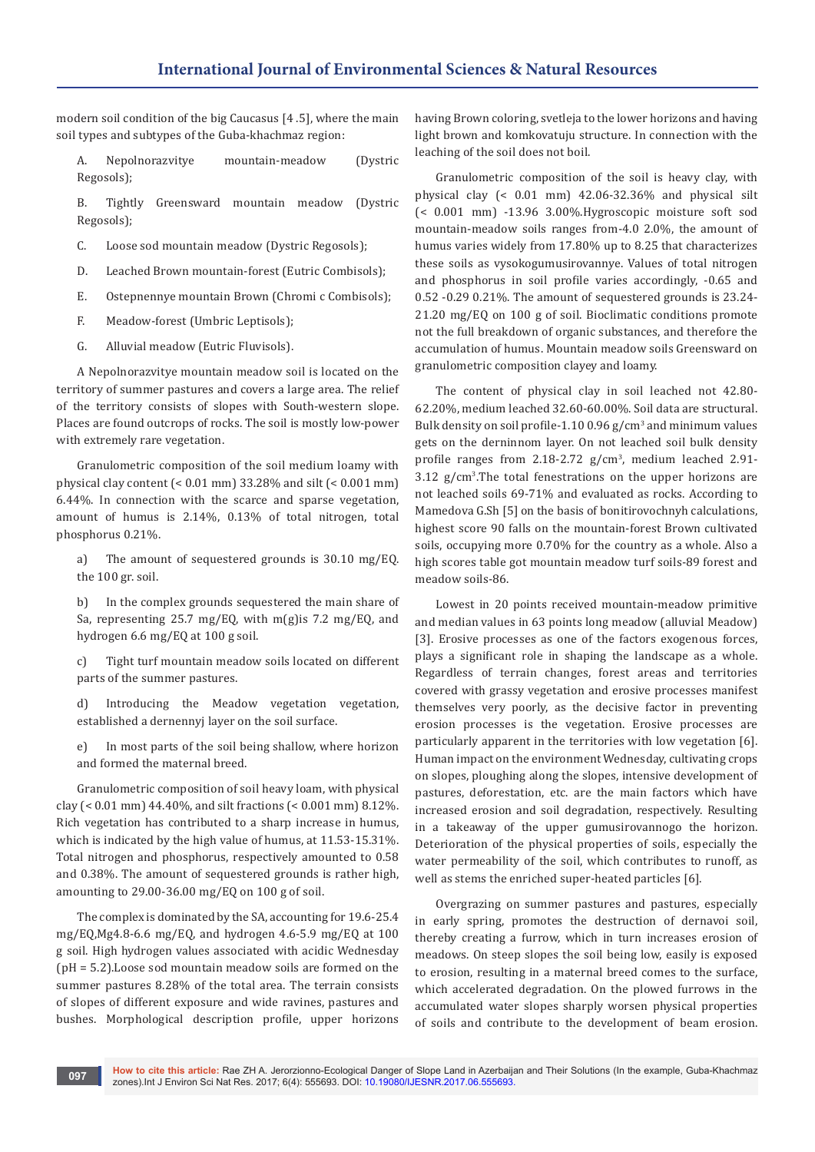modern soil condition of the big Caucasus [4 .5], where the main soil types and subtypes of the Guba-khachmaz region:

A. Nepolnorazvitye mountain-meadow (Dystric Regosols);

B. Tightly Greensward mountain meadow (Dystric Regosols);

- C. Loose sod mountain meadow (Dystric Regosols);
- D. Leached Brown mountain-forest (Eutric Combisols);
- E. Ostepnennye mountain Brown (Chromi c Combisols);
- F. Meadow-forest (Umbric Leptisols);
- G. Alluvial meadow (Eutric Fluvisols).

A Nepolnorazvitye mountain meadow soil is located on the territory of summer pastures and covers a large area. The relief of the territory consists of slopes with South-western slope. Places are found outcrops of rocks. The soil is mostly low-power with extremely rare vegetation.

Granulometric composition of the soil medium loamy with physical clay content (< 0.01 mm) 33.28% and silt (< 0.001 mm) 6.44%. In connection with the scarce and sparse vegetation, amount of humus is 2.14%, 0.13% of total nitrogen, total phosphorus 0.21%.

a) The amount of sequestered grounds is 30.10 mg/EQ. the 100 gr. soil.

b) In the complex grounds sequestered the main share of Sa, representing 25.7 mg/EQ, with m(g)is 7.2 mg/EQ, and hydrogen 6.6 mg/EQ at 100 g soil.

c) Tight turf mountain meadow soils located on different parts of the summer pastures.

d) Introducing the Meadow vegetation vegetation, established a dernennyj layer on the soil surface.

e) In most parts of the soil being shallow, where horizon and formed the maternal breed.

Granulometric composition of soil heavy loam, with physical clay (< 0.01 mm) 44.40%, and silt fractions (< 0.001 mm) 8.12%. Rich vegetation has contributed to a sharp increase in humus, which is indicated by the high value of humus, at 11.53-15.31%. Total nitrogen and phosphorus, respectively amounted to 0.58 and 0.38%. The amount of sequestered grounds is rather high, amounting to 29.00-36.00 mg/EQ on 100 g of soil.

The complex is dominated by the SA, accounting for 19.6-25.4 mg/EQ,Mg4.8-6.6 mg/EQ, and hydrogen 4.6-5.9 mg/EQ at 100 g soil. High hydrogen values associated with acidic Wednesday (pH = 5.2).Loose sod mountain meadow soils are formed on the summer pastures 8.28% of the total area. The terrain consists of slopes of different exposure and wide ravines, pastures and bushes. Morphological description profile, upper horizons having Brown coloring, svetleja to the lower horizons and having light brown and komkovatuju structure. In connection with the leaching of the soil does not boil.

Granulometric composition of the soil is heavy clay, with physical clay (< 0.01 mm) 42.06-32.36% and physical silt (< 0.001 mm) -13.96 3.00%.Hygroscopic moisture soft sod mountain-meadow soils ranges from-4.0 2.0%, the amount of humus varies widely from 17.80% up to 8.25 that characterizes these soils as vysokogumusirovannye. Values of total nitrogen and phosphorus in soil profile varies accordingly, -0.65 and 0.52 -0.29 0.21%. The amount of sequestered grounds is 23.24- 21.20 mg/EQ on 100 g of soil. Bioclimatic conditions promote not the full breakdown of organic substances, and therefore the accumulation of humus. Mountain meadow soils Greensward on granulometric composition clayey and loamy.

The content of physical clay in soil leached not 42.80- 62.20%, medium leached 32.60-60.00%. Soil data are structural. Bulk density on soil profile-1.10 0.96 g/cm<sup>3</sup> and minimum values gets on the derninnom layer. On not leached soil bulk density profile ranges from 2.18-2.72 g/cm<sup>3</sup> , medium leached 2.91- 3.12 g/cm<sup>3</sup> .The total fenestrations on the upper horizons are not leached soils 69-71% and evaluated as rocks. According to Mamedova G.Sh [5] on the basis of bonitirovochnyh calculations, highest score 90 falls on the mountain-forest Brown cultivated soils, occupying more 0.70% for the country as a whole. Also a high scores table got mountain meadow turf soils-89 forest and meadow soils-86.

Lowest in 20 points received mountain-meadow primitive and median values in 63 points long meadow (alluvial Meadow) [3]. Erosive processes as one of the factors exogenous forces, plays a significant role in shaping the landscape as a whole. Regardless of terrain changes, forest areas and territories covered with grassy vegetation and erosive processes manifest themselves very poorly, as the decisive factor in preventing erosion processes is the vegetation. Erosive processes are particularly apparent in the territories with low vegetation [6]. Human impact on the environment Wednesday, cultivating crops on slopes, ploughing along the slopes, intensive development of pastures, deforestation, etc. are the main factors which have increased erosion and soil degradation, respectively. Resulting in a takeaway of the upper gumusirovannogo the horizon. Deterioration of the physical properties of soils, especially the water permeability of the soil, which contributes to runoff, as well as stems the enriched super-heated particles [6].

Overgrazing on summer pastures and pastures, especially in early spring, promotes the destruction of dernavoi soil, thereby creating a furrow, which in turn increases erosion of meadows. On steep slopes the soil being low, easily is exposed to erosion, resulting in a maternal breed comes to the surface, which accelerated degradation. On the plowed furrows in the accumulated water slopes sharply worsen physical properties of soils and contribute to the development of beam erosion.